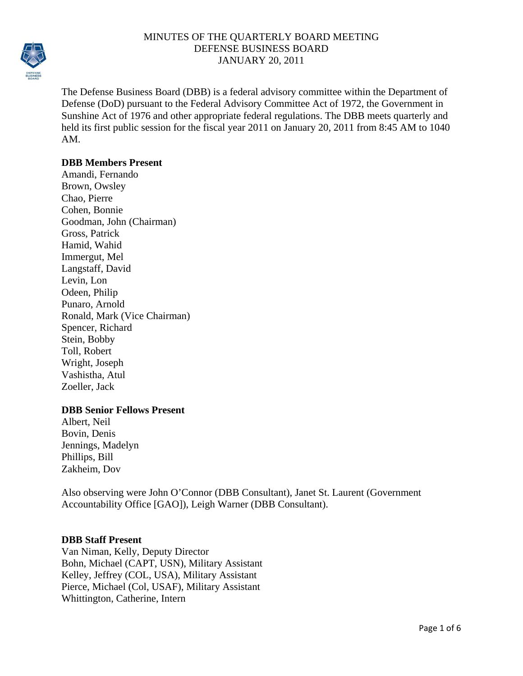

The Defense Business Board (DBB) is a federal advisory committee within the Department of Defense (DoD) pursuant to the Federal Advisory Committee Act of 1972, the Government in Sunshine Act of 1976 and other appropriate federal regulations. The DBB meets quarterly and held its first public session for the fiscal year 2011 on January 20, 2011 from 8:45 AM to 1040 AM.

#### **DBB Members Present**

Amandi, Fernando Brown, Owsley Chao, Pierre Cohen, Bonnie Goodman, John (Chairman) Gross, Patrick Hamid, Wahid Immergut, Mel Langstaff, David Levin, Lon Odeen, Philip Punaro, Arnold Ronald, Mark (Vice Chairman) Spencer, Richard Stein, Bobby Toll, Robert Wright, Joseph Vashistha, Atul Zoeller, Jack

## **DBB Senior Fellows Present**

Albert, Neil Bovin, Denis Jennings, Madelyn Phillips, Bill Zakheim, Dov

Also observing were John O'Connor (DBB Consultant), Janet St. Laurent (Government Accountability Office [GAO]), Leigh Warner (DBB Consultant).

#### **DBB Staff Present**

Van Niman, Kelly, Deputy Director Bohn, Michael (CAPT, USN), Military Assistant Kelley, Jeffrey (COL, USA), Military Assistant Pierce, Michael (Col, USAF), Military Assistant Whittington, Catherine, Intern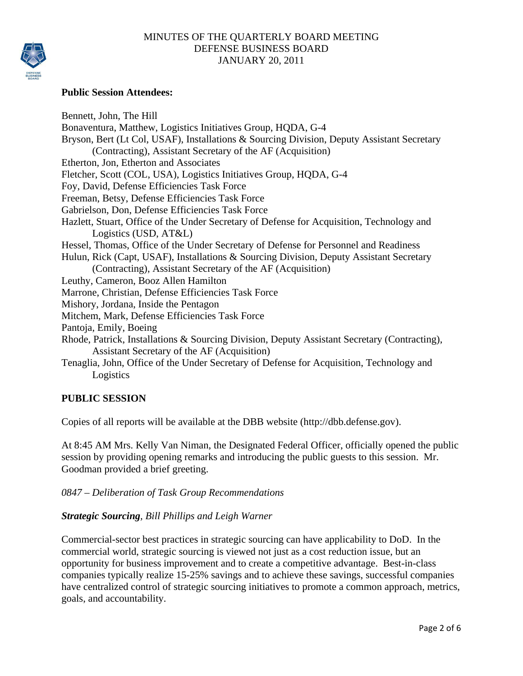

## **Public Session Attendees:**

Bennett, John, The Hill Bonaventura, Matthew, Logistics Initiatives Group, HQDA, G-4 Bryson, Bert (Lt Col, USAF), Installations & Sourcing Division, Deputy Assistant Secretary (Contracting), Assistant Secretary of the AF (Acquisition) Etherton, Jon, Etherton and Associates Fletcher, Scott (COL, USA), Logistics Initiatives Group, HQDA, G-4 Foy, David, Defense Efficiencies Task Force Freeman, Betsy, Defense Efficiencies Task Force Gabrielson, Don, Defense Efficiencies Task Force Hazlett, Stuart, Office of the Under Secretary of Defense for Acquisition, Technology and Logistics (USD, AT&L) Hessel, Thomas, Office of the Under Secretary of Defense for Personnel and Readiness Hulun, Rick (Capt, USAF), Installations & Sourcing Division, Deputy Assistant Secretary (Contracting), Assistant Secretary of the AF (Acquisition) Leuthy, Cameron, Booz Allen Hamilton Marrone, Christian, Defense Efficiencies Task Force Mishory, Jordana, Inside the Pentagon Mitchem, Mark, Defense Efficiencies Task Force Pantoja, Emily, Boeing Rhode, Patrick, Installations & Sourcing Division, Deputy Assistant Secretary (Contracting), Assistant Secretary of the AF (Acquisition) Tenaglia, John, Office of the Under Secretary of Defense for Acquisition, Technology and Logistics

## **PUBLIC SESSION**

Copies of all reports will be available at the DBB website (http://dbb.defense.gov).

At 8:45 AM Mrs. Kelly Van Niman, the Designated Federal Officer, officially opened the public session by providing opening remarks and introducing the public guests to this session. Mr. Goodman provided a brief greeting.

## *0847 – Deliberation of Task Group Recommendations*

## *Strategic Sourcing, Bill Phillips and Leigh Warner*

Commercial-sector best practices in strategic sourcing can have applicability to DoD. In the commercial world, strategic sourcing is viewed not just as a cost reduction issue, but an opportunity for business improvement and to create a competitive advantage. Best-in-class companies typically realize 15-25% savings and to achieve these savings, successful companies have centralized control of strategic sourcing initiatives to promote a common approach, metrics, goals, and accountability.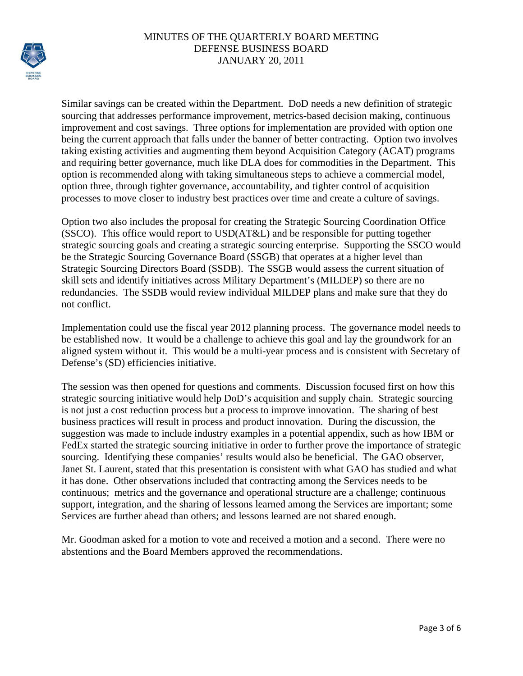

Similar savings can be created within the Department. DoD needs a new definition of strategic sourcing that addresses performance improvement, metrics-based decision making, continuous improvement and cost savings. Three options for implementation are provided with option one being the current approach that falls under the banner of better contracting. Option two involves taking existing activities and augmenting them beyond Acquisition Category (ACAT) programs and requiring better governance, much like DLA does for commodities in the Department. This option is recommended along with taking simultaneous steps to achieve a commercial model, option three, through tighter governance, accountability, and tighter control of acquisition processes to move closer to industry best practices over time and create a culture of savings.

Option two also includes the proposal for creating the Strategic Sourcing Coordination Office (SSCO). This office would report to USD(AT&L) and be responsible for putting together strategic sourcing goals and creating a strategic sourcing enterprise. Supporting the SSCO would be the Strategic Sourcing Governance Board (SSGB) that operates at a higher level than Strategic Sourcing Directors Board (SSDB). The SSGB would assess the current situation of skill sets and identify initiatives across Military Department's (MILDEP) so there are no redundancies. The SSDB would review individual MILDEP plans and make sure that they do not conflict.

Implementation could use the fiscal year 2012 planning process. The governance model needs to be established now. It would be a challenge to achieve this goal and lay the groundwork for an aligned system without it. This would be a multi-year process and is consistent with Secretary of Defense's (SD) efficiencies initiative.

The session was then opened for questions and comments. Discussion focused first on how this strategic sourcing initiative would help DoD's acquisition and supply chain. Strategic sourcing is not just a cost reduction process but a process to improve innovation. The sharing of best business practices will result in process and product innovation. During the discussion, the suggestion was made to include industry examples in a potential appendix, such as how IBM or FedEx started the strategic sourcing initiative in order to further prove the importance of strategic sourcing. Identifying these companies' results would also be beneficial. The GAO observer, Janet St. Laurent, stated that this presentation is consistent with what GAO has studied and what it has done. Other observations included that contracting among the Services needs to be continuous; metrics and the governance and operational structure are a challenge; continuous support, integration, and the sharing of lessons learned among the Services are important; some Services are further ahead than others; and lessons learned are not shared enough.

Mr. Goodman asked for a motion to vote and received a motion and a second. There were no abstentions and the Board Members approved the recommendations.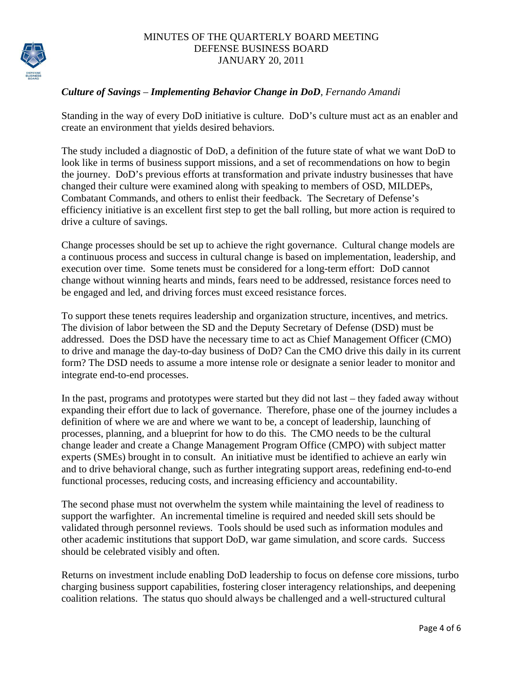

# *Culture of Savings – Implementing Behavior Change in DoD, Fernando Amandi*

Standing in the way of every DoD initiative is culture. DoD's culture must act as an enabler and create an environment that yields desired behaviors.

The study included a diagnostic of DoD, a definition of the future state of what we want DoD to look like in terms of business support missions, and a set of recommendations on how to begin the journey. DoD's previous efforts at transformation and private industry businesses that have changed their culture were examined along with speaking to members of OSD, MILDEPs, Combatant Commands, and others to enlist their feedback. The Secretary of Defense's efficiency initiative is an excellent first step to get the ball rolling, but more action is required to drive a culture of savings.

Change processes should be set up to achieve the right governance. Cultural change models are a continuous process and success in cultural change is based on implementation, leadership, and execution over time. Some tenets must be considered for a long-term effort: DoD cannot change without winning hearts and minds, fears need to be addressed, resistance forces need to be engaged and led, and driving forces must exceed resistance forces.

To support these tenets requires leadership and organization structure, incentives, and metrics. The division of labor between the SD and the Deputy Secretary of Defense (DSD) must be addressed. Does the DSD have the necessary time to act as Chief Management Officer (CMO) to drive and manage the day-to-day business of DoD? Can the CMO drive this daily in its current form? The DSD needs to assume a more intense role or designate a senior leader to monitor and integrate end-to-end processes.

In the past, programs and prototypes were started but they did not last – they faded away without expanding their effort due to lack of governance. Therefore, phase one of the journey includes a definition of where we are and where we want to be, a concept of leadership, launching of processes, planning, and a blueprint for how to do this. The CMO needs to be the cultural change leader and create a Change Management Program Office (CMPO) with subject matter experts (SMEs) brought in to consult. An initiative must be identified to achieve an early win and to drive behavioral change, such as further integrating support areas, redefining end-to-end functional processes, reducing costs, and increasing efficiency and accountability.

The second phase must not overwhelm the system while maintaining the level of readiness to support the warfighter. An incremental timeline is required and needed skill sets should be validated through personnel reviews. Tools should be used such as information modules and other academic institutions that support DoD, war game simulation, and score cards. Success should be celebrated visibly and often.

Returns on investment include enabling DoD leadership to focus on defense core missions, turbo charging business support capabilities, fostering closer interagency relationships, and deepening coalition relations. The status quo should always be challenged and a well-structured cultural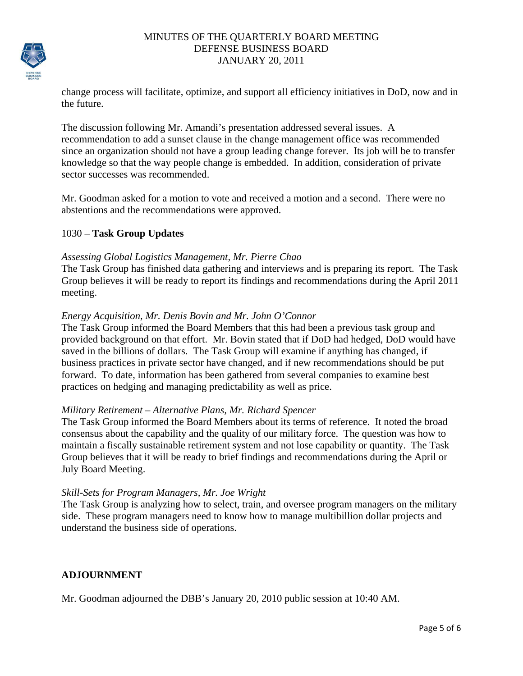

change process will facilitate, optimize, and support all efficiency initiatives in DoD, now and in the future.

The discussion following Mr. Amandi's presentation addressed several issues. A recommendation to add a sunset clause in the change management office was recommended since an organization should not have a group leading change forever. Its job will be to transfer knowledge so that the way people change is embedded. In addition, consideration of private sector successes was recommended.

Mr. Goodman asked for a motion to vote and received a motion and a second. There were no abstentions and the recommendations were approved.

## 1030 – **Task Group Updates**

#### *Assessing Global Logistics Management, Mr. Pierre Chao*

The Task Group has finished data gathering and interviews and is preparing its report. The Task Group believes it will be ready to report its findings and recommendations during the April 2011 meeting.

#### *Energy Acquisition, Mr. Denis Bovin and Mr. John O'Connor*

The Task Group informed the Board Members that this had been a previous task group and provided background on that effort. Mr. Bovin stated that if DoD had hedged, DoD would have saved in the billions of dollars. The Task Group will examine if anything has changed, if business practices in private sector have changed, and if new recommendations should be put forward. To date, information has been gathered from several companies to examine best practices on hedging and managing predictability as well as price.

#### *Military Retirement – Alternative Plans, Mr. Richard Spencer*

The Task Group informed the Board Members about its terms of reference. It noted the broad consensus about the capability and the quality of our military force. The question was how to maintain a fiscally sustainable retirement system and not lose capability or quantity. The Task Group believes that it will be ready to brief findings and recommendations during the April or July Board Meeting.

#### *Skill-Sets for Program Managers, Mr. Joe Wright*

The Task Group is analyzing how to select, train, and oversee program managers on the military side. These program managers need to know how to manage multibillion dollar projects and understand the business side of operations.

## **ADJOURNMENT**

Mr. Goodman adjourned the DBB's January 20, 2010 public session at 10:40 AM.